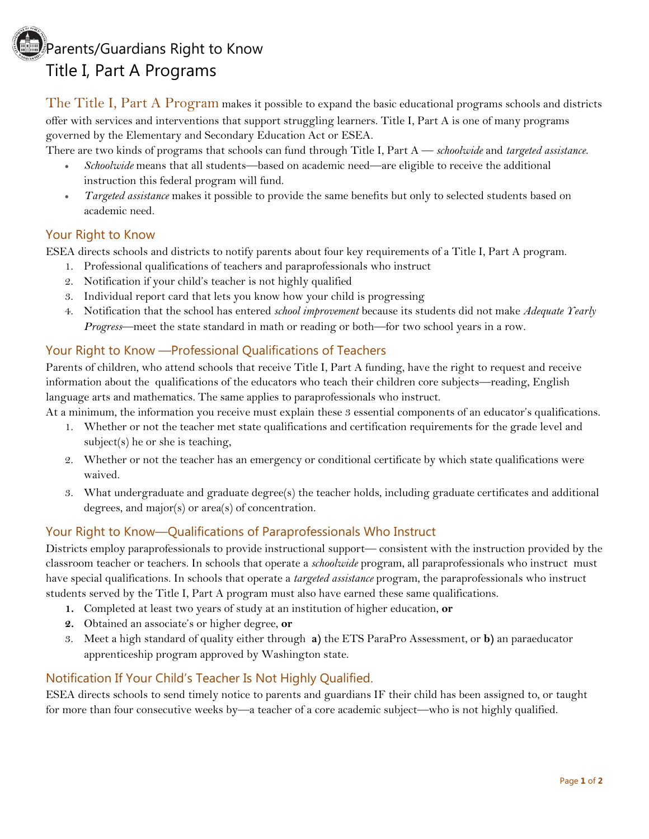## Parents/Guardians Right to Know Title I, Part A Programs

The Title I, Part A Program makes it possible to expand the basic educational programs schools and districts offer with services and interventions that support struggling learners. Title I, Part A is one of many programs governed by the Elementary and Secondary Education Act or ESEA.

There are two kinds of programs that schools can fund through Title I, Part A — *schoolwide* and *targeted assistance*.

- *Schoolwide* means that all students—based on academic need—are eligible to receive the additional instruction this federal program will fund.
- *Targeted assistance* makes it possible to provide the same benefits but only to selected students based on academic need.

#### Your Right to Know

ESEA directs schools and districts to notify parents about four key requirements of a Title I, Part A program.

- 1. Professional qualifications of teachers and paraprofessionals who instruct
- 2. Notification if your child's teacher is not highly qualified
- 3. Individual report card that lets you know how your child is progressing
- 4. Notification that the school has entered *school improvement* because its students did not make *Adequate Yearly Progress*—meet the state standard in math or reading or both—for two school years in a row.

#### Your Right to Know —Professional Qualifications of Teachers

Parents of children, who attend schools that receive Title I, Part A funding, have the right to request and receive information about the qualifications of the educators who teach their children core subjects—reading, English language arts and mathematics. The same applies to paraprofessionals who instruct.

At a minimum, the information you receive must explain these 3 essential components of an educator's qualifications.

- 1. Whether or not the teacher met state qualifications and certification requirements for the grade level and subject(s) he or she is teaching,
- 2. Whether or not the teacher has an emergency or conditional certificate by which state qualifications were waived.
- 3. What undergraduate and graduate degree(s) the teacher holds, including graduate certificates and additional degrees, and major(s) or area(s) of concentration.

## Your Right to Know—Qualifications of Paraprofessionals Who Instruct

Districts employ paraprofessionals to provide instructional support— consistent with the instruction provided by the classroom teacher or teachers. In schools that operate a *schoolwide* program, all paraprofessionals who instruct must have special qualifications. In schools that operate a *targeted assistance* program, the paraprofessionals who instruct students served by the Title I, Part A program must also have earned these same qualifications.

- **1.** Completed at least two years of study at an institution of higher education, **or**
- **2.** Obtained an associate's or higher degree, **or**
- 3. Meet a high standard of quality either through **a)** the ETS ParaPro Assessment, or **b)** an paraeducator apprenticeship program approved by Washington state.

## Notification If Your Child's Teacher Is Not Highly Qualified.

ESEA directs schools to send timely notice to parents and guardians IF their child has been assigned to, or taught for more than four consecutive weeks by—a teacher of a core academic subject—who is not highly qualified.